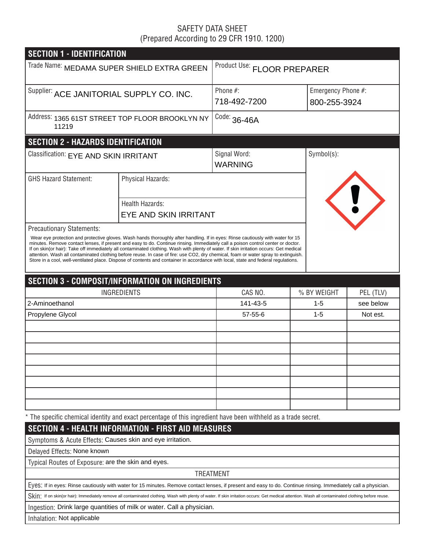# SAFETY DATA SHEET (Prepared According to 29 CFR 1910. 1200)

| <b>SECTION 1 - IDENTIFICATION</b>                  |                                                                                                                                                                                                                                                                                                                                                                                                                                                                                                                                                                                                                                                                                           |                                |             |                                    |  |  |  |
|----------------------------------------------------|-------------------------------------------------------------------------------------------------------------------------------------------------------------------------------------------------------------------------------------------------------------------------------------------------------------------------------------------------------------------------------------------------------------------------------------------------------------------------------------------------------------------------------------------------------------------------------------------------------------------------------------------------------------------------------------------|--------------------------------|-------------|------------------------------------|--|--|--|
| Trade Name: MEDAMA SUPER SHIELD EXTRA GREEN        |                                                                                                                                                                                                                                                                                                                                                                                                                                                                                                                                                                                                                                                                                           | Product Use: FLOOR PREPARER    |             |                                    |  |  |  |
| Supplier: ACE JANITORIAL SUPPLY CO. INC.           |                                                                                                                                                                                                                                                                                                                                                                                                                                                                                                                                                                                                                                                                                           | Phone $#$ :<br>718-492-7200    |             | Emergency Phone #:<br>800-255-3924 |  |  |  |
| 11219                                              | Address: 1365 61ST STREET TOP FLOOR BROOKLYN NY                                                                                                                                                                                                                                                                                                                                                                                                                                                                                                                                                                                                                                           | $\text{Code: } 36-46A$         |             |                                    |  |  |  |
| <b>SECTION 2 - HAZARDS IDENTIFICATION</b>          |                                                                                                                                                                                                                                                                                                                                                                                                                                                                                                                                                                                                                                                                                           |                                |             |                                    |  |  |  |
| Classification: EYE AND SKIN IRRITANT              |                                                                                                                                                                                                                                                                                                                                                                                                                                                                                                                                                                                                                                                                                           | Signal Word:<br><b>WARNING</b> | Symbol(s):  |                                    |  |  |  |
| <b>GHS Hazard Statement:</b>                       | Physical Hazards:                                                                                                                                                                                                                                                                                                                                                                                                                                                                                                                                                                                                                                                                         |                                |             |                                    |  |  |  |
|                                                    | <b>Health Hazards:</b>                                                                                                                                                                                                                                                                                                                                                                                                                                                                                                                                                                                                                                                                    |                                |             |                                    |  |  |  |
|                                                    | EYE AND SKIN IRRITANT                                                                                                                                                                                                                                                                                                                                                                                                                                                                                                                                                                                                                                                                     |                                |             |                                    |  |  |  |
| <b>Precautionary Statements:</b>                   | Wear eye protection and protective gloves. Wash hands thoroughly after handling. If in eyes: Rinse cautiously with water for 15<br>minutes. Remove contact lenses, if present and easy to do. Continue rinsing. Immediately call a poison control center or doctor.<br>If on skin(or hair): Take off immediately all contaminated clothing. Wash with plenty of water. If skin irritation occurs: Get medical<br>attention. Wash all contaminated clothing before reuse. In case of fire: use CO2, dry chemical, foam or water spray to extinguish.<br>Store in a cool, well-ventilated place. Dispose of contents and container in accordance with local, state and federal regulations. |                                |             |                                    |  |  |  |
|                                                    | <b>SECTION 3 - COMPOSIT/INFORMATION ON INGREDIENTS</b>                                                                                                                                                                                                                                                                                                                                                                                                                                                                                                                                                                                                                                    |                                |             |                                    |  |  |  |
|                                                    | <b>INGREDIENTS</b>                                                                                                                                                                                                                                                                                                                                                                                                                                                                                                                                                                                                                                                                        | CAS NO.                        | % BY WEIGHT | PEL (TLV)                          |  |  |  |
| 2-Aminoethanol                                     |                                                                                                                                                                                                                                                                                                                                                                                                                                                                                                                                                                                                                                                                                           | 141-43-5                       | $1 - 5$     | see below                          |  |  |  |
| Propylene Glycol                                   |                                                                                                                                                                                                                                                                                                                                                                                                                                                                                                                                                                                                                                                                                           | $57 - 55 - 6$                  | $1 - 5$     | Not est.                           |  |  |  |
|                                                    |                                                                                                                                                                                                                                                                                                                                                                                                                                                                                                                                                                                                                                                                                           |                                |             |                                    |  |  |  |
|                                                    |                                                                                                                                                                                                                                                                                                                                                                                                                                                                                                                                                                                                                                                                                           |                                |             |                                    |  |  |  |
|                                                    |                                                                                                                                                                                                                                                                                                                                                                                                                                                                                                                                                                                                                                                                                           |                                |             |                                    |  |  |  |
|                                                    |                                                                                                                                                                                                                                                                                                                                                                                                                                                                                                                                                                                                                                                                                           |                                |             |                                    |  |  |  |
|                                                    |                                                                                                                                                                                                                                                                                                                                                                                                                                                                                                                                                                                                                                                                                           |                                |             |                                    |  |  |  |
|                                                    |                                                                                                                                                                                                                                                                                                                                                                                                                                                                                                                                                                                                                                                                                           |                                |             |                                    |  |  |  |
|                                                    |                                                                                                                                                                                                                                                                                                                                                                                                                                                                                                                                                                                                                                                                                           |                                |             |                                    |  |  |  |
|                                                    | * The specific chemical identity and exact percentage of this ingredient have been withheld as a trade secret.                                                                                                                                                                                                                                                                                                                                                                                                                                                                                                                                                                            |                                |             |                                    |  |  |  |
|                                                    | <b>SECTION 4 - HEALTH INFORMATION - FIRST AID MEASURES</b>                                                                                                                                                                                                                                                                                                                                                                                                                                                                                                                                                                                                                                |                                |             |                                    |  |  |  |
|                                                    | Symptoms & Acute Effects: Causes skin and eye irritation.                                                                                                                                                                                                                                                                                                                                                                                                                                                                                                                                                                                                                                 |                                |             |                                    |  |  |  |
| Delayed Effects: None known                        |                                                                                                                                                                                                                                                                                                                                                                                                                                                                                                                                                                                                                                                                                           |                                |             |                                    |  |  |  |
| Typical Routes of Exposure: are the skin and eyes. |                                                                                                                                                                                                                                                                                                                                                                                                                                                                                                                                                                                                                                                                                           |                                |             |                                    |  |  |  |
|                                                    |                                                                                                                                                                                                                                                                                                                                                                                                                                                                                                                                                                                                                                                                                           | <b>TREATMENT</b>               |             |                                    |  |  |  |
|                                                    | Eyes: If in eyes: Rinse cautiously with water for 15 minutes. Remove contact lenses, if present and easy to do. Continue rinsing. Immediately call a physician.                                                                                                                                                                                                                                                                                                                                                                                                                                                                                                                           |                                |             |                                    |  |  |  |
|                                                    | Skin: If on skin(or hair): Immediately remove all contaminated clothing. Wash with plenty of water. If skin irritation occurs: Get medical attention. Wash all contaminated clothing before reuse.                                                                                                                                                                                                                                                                                                                                                                                                                                                                                        |                                |             |                                    |  |  |  |
|                                                    | Ingestion: Drink large quantities of milk or water. Call a physician.                                                                                                                                                                                                                                                                                                                                                                                                                                                                                                                                                                                                                     |                                |             |                                    |  |  |  |
| Inhalation: Not applicable                         |                                                                                                                                                                                                                                                                                                                                                                                                                                                                                                                                                                                                                                                                                           |                                |             |                                    |  |  |  |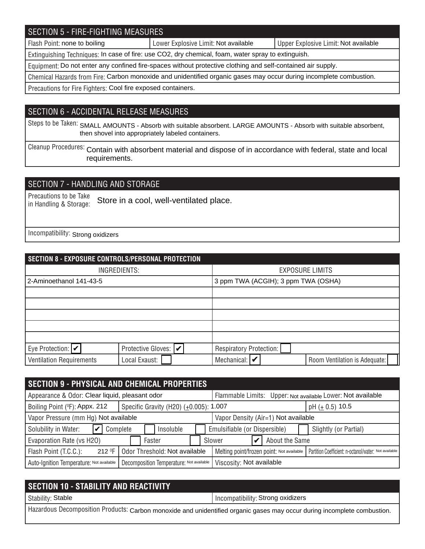# SECTION 5 - FIRE-FIGHTING MEASURES

Flash Point: none to boiling **Notable 2018** Lower Explosive Limit: Not available Not available Not available

Extinguishing Techniques: In case of fire: use CO2, dry chemical, foam, water spray to extinguish.

Equipment: Do not enter any confined fire-spaces without protective clothing and self-contained air supply.

Chemical Hazards from Fire: Carbon monoxide and unidentified organic gases may occur during incomplete combustion.

Precautions for Fire Fighters: Cool fire exposed containers.

### SECTION 6 - ACCIDENTAL RELEASE MEASURES

Steps to be Taken: SMALL AMOUNTS - Absorb with suitable absorbent. LARGE AMOUNTS - Absorb with suitable absorbent, then shovel into appropriately labeled containers.

Cleanup Procedures: Contain with absorbent material and dispose of in accordance with federal, state and local requirements.

# SECTION 7 - HANDLING AND STORAGE

Precautions to be Take in Handling & Storage: Store in a cool, well-ventilated place.

Incompatibility: Strong oxidizers

| SECTION 8 - EXPOSURE CONTROLS/PERSONAL PROTECTION |                       |                                                    |  |  |  |  |
|---------------------------------------------------|-----------------------|----------------------------------------------------|--|--|--|--|
| INGREDIENTS:                                      |                       | <b>EXPOSURE LIMITS</b>                             |  |  |  |  |
| 2-Aminoethanol 141-43-5                           |                       | 3 ppm TWA (ACGIH); 3 ppm TWA (OSHA)                |  |  |  |  |
|                                                   |                       |                                                    |  |  |  |  |
|                                                   |                       |                                                    |  |  |  |  |
|                                                   |                       |                                                    |  |  |  |  |
|                                                   |                       |                                                    |  |  |  |  |
|                                                   |                       |                                                    |  |  |  |  |
| Eye Protection: $ v $                             | Protective Gloves:  ✔ | Respiratory Protection:                            |  |  |  |  |
| <b>Ventilation Requirements</b>                   | Local Exaust:         | Mechanical: $ v $<br>Room Ventilation is Adequate: |  |  |  |  |

| <b>SECTION 9 - PHYSICAL AND CHEMICAL PROPERTIES</b> |                                          |  |                                                             |                                                       |                       |  |
|-----------------------------------------------------|------------------------------------------|--|-------------------------------------------------------------|-------------------------------------------------------|-----------------------|--|
| Appearance & Odor: Clear liquid, pleasant odor      |                                          |  | Flammable Limits: Upper: Not available Lower: Not available |                                                       |                       |  |
| Boiling Point (°F): Appx. 212                       | Specific Gravity (H20) (±0.005): 1.007   |  | pH $(\pm 0.5)$ 10.5                                         |                                                       |                       |  |
| Vapor Pressure (mm Hg) Not available                |                                          |  | Vapor Density (Air=1) Not available                         |                                                       |                       |  |
| Solubility in Water:<br>Complete                    | Insoluble                                |  | Emulsifiable (or Dispersible)                               |                                                       | Slightly (or Partial) |  |
| Evaporation Rate (vs H2O)                           | Faster                                   |  | Slower                                                      | About the Same                                        |                       |  |
| Flash Point (T.C.C.):<br>212 F                      | Odor Threshold: Not available            |  | Melting point/frozen point: Not available                   | Partition Coefficient: n-octanol/water: Not available |                       |  |
| Auto-Ignition Temperature: Not available            | Decomposition Temperature: Not available |  | Viscosity: Not available                                    |                                                       |                       |  |

| <b>SECTION 10 - STABILITY AND REACTIVITY</b>                                                                             |                                   |
|--------------------------------------------------------------------------------------------------------------------------|-----------------------------------|
| Stability: Stable                                                                                                        | Incompatibility: Strong oxidizers |
| Hazardous Decomposition Products: Carbon monoxide and unidentified organic gases may occur during incomplete combustion. |                                   |